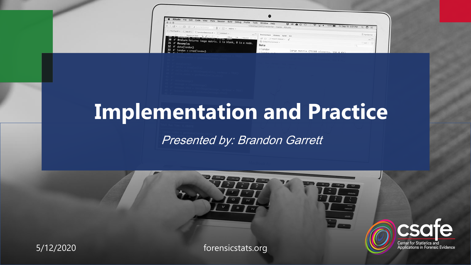| RStudio File Edit Code View Plots Session Build Debug Profile<br>Tools<br>0.0.                                                                                                                          | Window Help<br>$\mathbf{U} \otimes \mathbf{A} \otimes \mathbf{U}$ | $\bullet$                              |                |
|---------------------------------------------------------------------------------------------------------------------------------------------------------------------------------------------------------|-------------------------------------------------------------------|----------------------------------------|----------------|
| 上ば! 日 Bi di (di contention) = 8 + Bi + Addres +                                                                                                                                                         | ~/Desidop/CSAFE/handeriter - master - RStudio                     | Fri Sep 15 3:01 PM Q C E               |                |
| $\{0\}$ Theorem R = $\{0\}$ data R = $\{0\}$ is reduced between a $\pi$ = $\{0\}$ denoted a $\pi$<br>Chiestocher G.Z.+ L. + 3 het twill informe + 27<br>to www.execomers. Versex entertion, Zhang, Soun | Environment History Build Cit<br>- CIT 17 - Thispart Dataset + 1  |                                        | - A handwriter |
| 30 #' @return Returns image matrix. 1 is blank, 0 is a node.<br>431 #' @examples                                                                                                                        | - Global Environment +                                            |                                        | Litr +         |
| $32$ $\#$ ' data(london)                                                                                                                                                                                | Data                                                              |                                        |                |
| $-33$ #' london = crop(london)<br>$\cdots$                                                                                                                                                              | 01ondon<br>10 To 20 10 11                                         | Large matrix (71188 elements SSC 4 Kb) |                |

# **Implementation and Practice**

## Presented by: Brandon Garrett

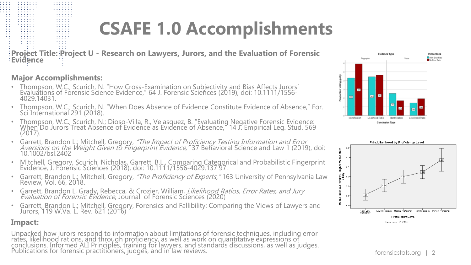# **CSAFE 1.0 Accomplishments**

**Project Title: Project U - Research on Lawyers, Jurors, and the Evaluation of Forensic Evidence**

#### **Major Accomplishments:**

- Thompson, W.C.; Scurich, N. "How Cross-Examination on Subjectivity and Bias Affects Jurors' Evaluations of Forensic Science Evidence," 64 J. Forensic Sciences (2019), doi: 10.1111/1556- 4029.14031.
- Thompson, W.C.; Scurich, N. "When Does Absence of Evidence Constitute Evidence of Absence," For. Sci International 291 (2018).
- Thompson, W.C.; Scurich, N.; Dioso-Villa, R., Velasquez, B. "Evaluating Negative Forensic Evidence: When Do Jurors Treat Absence of Evidence as Evidence of Absence," 14 J. Empirical Leg. Stud. 569 (2017).
- Garrett, Brandon L.; Mitchell, Gregory, "The Impact of Proficiency Testing Information and Error Aversions on the Weight Given to Fingerprint Evidence," 37 Behavioral Science and Law 1 (2019), doi: 10.1002/bsl.2402
- Mitchell, Gregory, Scurich, Nicholas, Garrett, B.L., Comparing Categorical and Probabilistic Fingerprint Evidence, J. Forensic Sciences (2018), doi: 10.1111/1556-4029.137 97.
- Garrett, Brandon L.; Mitchell, Gregory, "The Proficiency of Experts," 163 University of Pennsylvania Law Review, Vol. 66, 2018.
- Garrett, Brandon L, Grady, Rebecca, & Crozier, William, Likelihood Ratios, Error Rates, and Jury Evaluation of Forensic Evidence, Journal of Forensic Sciences (2020)
- Garrett, Brandon L.; Mitchell, Gregory, Forensics and Fallibility: Comparing the Views of Lawyers and Jurors, 119 W.Va. L. Rev. 621 (2016)

#### **Impact:**

. . . . . . .

 $\alpha$  , and  $\alpha$  , and  $\alpha$ 

Unpacked how jurors respond to information about limitations of forensic techniques, including error rates, likelihood rations, and through proficiency, as well as work on quantitative expressions of conclusions. Informed ALI Principles, training for lawyers, and standards discussions, as well as judges. Publications for forensic practitioners, judges, and in law reviews. The extra section of the set of the set of the set of the set of the set of the set of the set of the set of the set of the set of the set of the set of



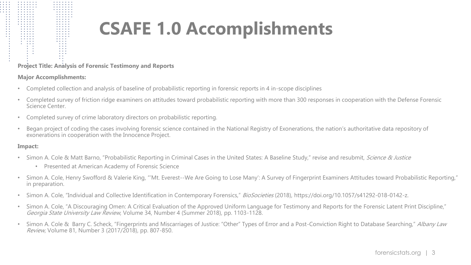# **CSAFE 1.0 Accomplishments**

#### **Project Title: Analysis of Forensic Testimony and Reports**

#### **Major Accomplishments:**

. . . . .

- Completed collection and analysis of baseline of probabilistic reporting in forensic reports in 4 in-scope disciplines
- Completed survey of friction ridge examiners on attitudes toward probabilistic reporting with more than 300 responses in cooperation with the Defense Forensic Science Center.
- Completed survey of crime laboratory directors on probabilistic reporting.
- Began project of coding the cases involving forensic science contained in the National Registry of Exonerations, the nation's authoritative data repository of exonerations in cooperation with the Innocence Project.

#### **Impact:**

 $\begin{array}{cccccccccccccc} \bullet & \bullet & \bullet & \bullet & \bullet & \bullet & \bullet & \bullet & \bullet & \bullet \end{array}$ 

 $11111$ 

 $\begin{array}{ccccccccccccc} \bullet & \bullet & \bullet & \bullet & \bullet & \bullet & \bullet \end{array}$  $\sigma$  ,  $\sigma$  ,  $\sigma$  ,  $\sigma$  ,  $\sigma$  $\sigma_{\rm{eff}}=0.0000$  $\cdot$  : : :

- Simon A. Cole & Matt Barno, "Probabilistic Reporting in Criminal Cases in the United States: A Baseline Study," revise and resubmit, Science & Justice
	- Presented at American Academy of Forensic Science
- Simon A. Cole, Henry Swofford & Valerie King, "'Mt. Everest--We Are Going to Lose Many': A Survey of Fingerprint Examiners Attitudes toward Probabilistic Reporting," in preparation.
- Simon A. Cole, "Individual and Collective Identification in Contemporary Forensics," BioSocieties (2018), https://doi.org/10.1057/s41292-018-0142-z.
- Simon A. Cole, "A Discouraging Omen: A Critical Evaluation of the Approved Uniform Language for Testimony and Reports for the Forensic Latent Print Discipline," Georgia State University Law Review, Volume 34, Number 4 (Summer 2018), pp. 1103-1128.
- Simon A. Cole & Barry C. Scheck, "Fingerprints and Miscarriages of Justice: "Other" Types of Error and a Post-Conviction Right to Database Searching," Albany Law Review, Volume 81, Number 3 (2017/2018), pp. 807-850.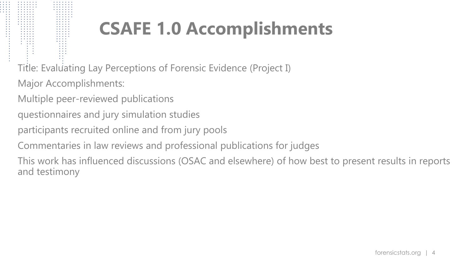# **CSAFE 1.0 Accomplishments**

Title: Evaluating Lay Perceptions of Forensic Evidence (Project I)

Major Accomplishments:

Multiple peer-reviewed publications

- questionnaires and jury simulation studies
- participants recruited online and from jury pools
- Commentaries in law reviews and professional publications for judges

This work has influenced discussions (OSAC and elsewhere) of how best to present results in reports and testimony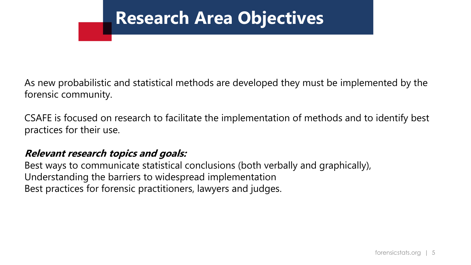# **Research Area Objectives**

As new probabilistic and statistical methods are developed they must be implemented by the forensic community.

CSAFE is focused on research to facilitate the implementation of methods and to identify best practices for their use.

### **Relevant research topics and goals:**

Best ways to communicate statistical conclusions (both verbally and graphically), Understanding the barriers to widespread implementation Best practices for forensic practitioners, lawyers and judges.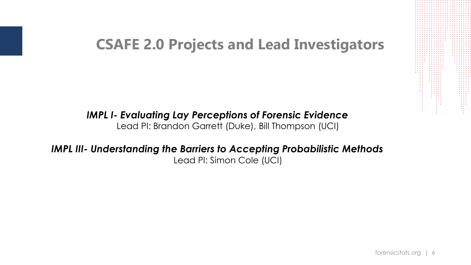## **CSAFE 2.0 Projects and Lead Investigators**

### *IMPL I- Evaluating Lay Perceptions of Forensic Evidence* Lead PI: Brandon Garrett (Duke), Bill Thompson (UCI)

### *IMPL III- Understanding the Barriers to Accepting Probabilistic Methods* Lead PI: Simon Cole (UCI)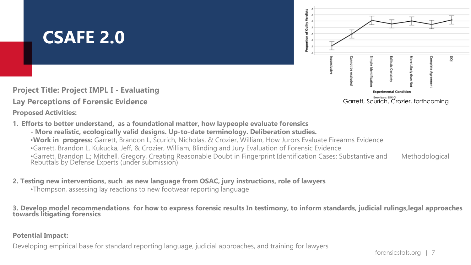# **CSAFE 2.0**



**Project Title: Project IMPL I - Evaluating** 

#### **Lay Perceptions of Forensic Evidence**

**Proposed Activities:**

- **1. Efforts to better understand, as a foundational matter, how laypeople evaluate forensics**
	- **- More realistic, ecologically valid designs. Up-to-date terminology. Deliberation studies.** •**Work in progress:** Garrett, Brandon L, Scurich, Nicholas, & Crozier, William, How Jurors Evaluate Firearms Evidence •Garrett, Brandon L, Kukucka, Jeff, & Crozier, William, Blinding and Jury Evaluation of Forensic Evidence •Garrett, Brandon L.; Mitchell, Gregory, Creating Reasonable Doubt in Fingerprint Identification Cases: Substantive and Methodological Rebuttals by Defense Experts (under submission)

#### **2. Testing new interventions, such as new language from OSAC, jury instructions, role of lawyers**

•Thompson, assessing lay reactions to new footwear reporting language

**3. Develop model recommendations for how to express forensic results In testimony, to inform standards, judicial rulings,legal approaches towards litigating forensics**

#### **Potential Impact:**

Developing empirical base for standard reporting language, judicial approaches, and training for lawyers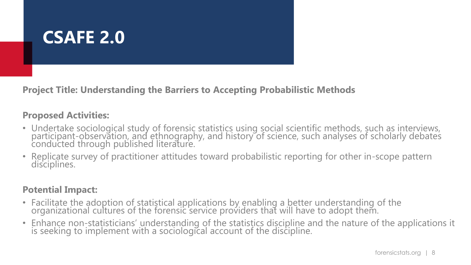

**Project Title: Understanding the Barriers to Accepting Probabilistic Methods**

### **Proposed Activities:**

- Undertake sociological study of forensic statistics using social scientific methods, such as interviews, participant-observation, and ethnography, and history of science, such analyses of scholarly debates conducted through published literature.
- Replicate survey of practitioner attitudes toward probabilistic reporting for other in-scope pattern disciplines.

### **Potential Impact:**

- Facilitate the adoption of statistical applications by enabling a better understanding of the organizational cultures of the forensic service providers that will have to adopt them.
- Enhance non-statisticians' understanding of the statistics discipline and the nature of the applications it is seeking to implement with a sociological account of the discipline.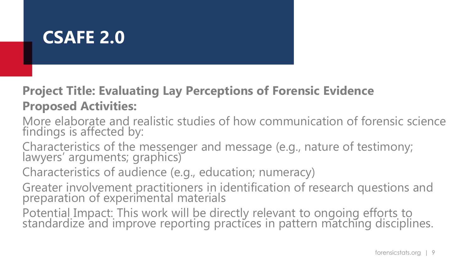## **CSAFE 2.0**

## **Project Title: Evaluating Lay Perceptions of Forensic Evidence Proposed Activities:**

- More elaborate and realistic studies of how communication of forensic science findings is affected by:
- Characteristics of the messenger and message (e.g., nature of testimony; lawyers' arguments; graphics)
- Characteristics of audience (e.g., education; numeracy)
- Greater involvement practitioners in identification of research questions and preparation of experimental materials
- Potential Impact: This work will be directly relevant to ongoing efforts to standardize and improve reporting practices in pattern matching disciplines.